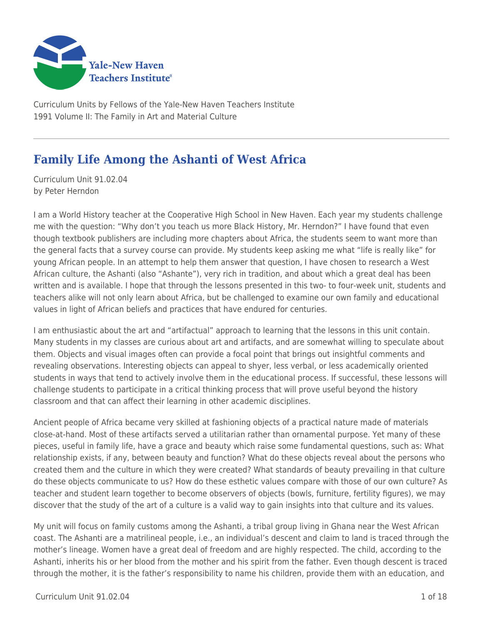

Curriculum Units by Fellows of the Yale-New Haven Teachers Institute 1991 Volume II: The Family in Art and Material Culture

# **Family Life Among the Ashanti of West Africa**

Curriculum Unit 91.02.04 by Peter Herndon

I am a World History teacher at the Cooperative High School in New Haven. Each year my students challenge me with the question: "Why don't you teach us more Black History, Mr. Herndon?" I have found that even though textbook publishers are including more chapters about Africa, the students seem to want more than the general facts that a survey course can provide. My students keep asking me what "life is really like" for young African people. In an attempt to help them answer that question, I have chosen to research a West African culture, the Ashanti (also "Ashante"), very rich in tradition, and about which a great deal has been written and is available. I hope that through the lessons presented in this two- to four-week unit, students and teachers alike will not only learn about Africa, but be challenged to examine our own family and educational values in light of African beliefs and practices that have endured for centuries.

I am enthusiastic about the art and "artifactual" approach to learning that the lessons in this unit contain. Many students in my classes are curious about art and artifacts, and are somewhat willing to speculate about them. Objects and visual images often can provide a focal point that brings out insightful comments and revealing observations. Interesting objects can appeal to shyer, less verbal, or less academically oriented students in ways that tend to actively involve them in the educational process. If successful, these lessons will challenge students to participate in a critical thinking process that will prove useful beyond the history classroom and that can affect their learning in other academic disciplines.

Ancient people of Africa became very skilled at fashioning objects of a practical nature made of materials close-at-hand. Most of these artifacts served a utilitarian rather than ornamental purpose. Yet many of these pieces, useful in family life, have a grace and beauty which raise some fundamental questions, such as: What relationship exists, if any, between beauty and function? What do these objects reveal about the persons who created them and the culture in which they were created? What standards of beauty prevailing in that culture do these objects communicate to us? How do these esthetic values compare with those of our own culture? As teacher and student learn together to become observers of objects (bowls, furniture, fertility figures), we may discover that the study of the art of a culture is a valid way to gain insights into that culture and its values.

My unit will focus on family customs among the Ashanti, a tribal group living in Ghana near the West African coast. The Ashanti are a matrilineal people, i.e., an individual's descent and claim to land is traced through the mother's lineage. Women have a great deal of freedom and are highly respected. The child, according to the Ashanti, inherits his or her blood from the mother and his spirit from the father. Even though descent is traced through the mother, it is the father's responsibility to name his children, provide them with an education, and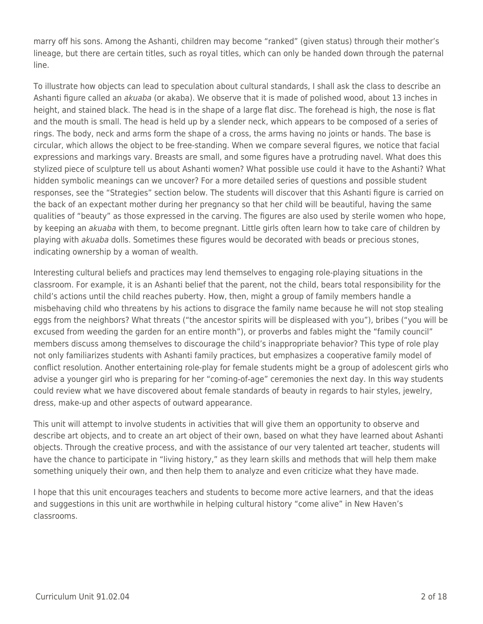marry off his sons. Among the Ashanti, children may become "ranked" (given status) through their mother's lineage, but there are certain titles, such as royal titles, which can only be handed down through the paternal line.

To illustrate how objects can lead to speculation about cultural standards, I shall ask the class to describe an Ashanti figure called an akuaba (or akaba). We observe that it is made of polished wood, about 13 inches in height, and stained black. The head is in the shape of a large flat disc. The forehead is high, the nose is flat and the mouth is small. The head is held up by a slender neck, which appears to be composed of a series of rings. The body, neck and arms form the shape of a cross, the arms having no joints or hands. The base is circular, which allows the object to be free-standing. When we compare several figures, we notice that facial expressions and markings vary. Breasts are small, and some figures have a protruding navel. What does this stylized piece of sculpture tell us about Ashanti women? What possible use could it have to the Ashanti? What hidden symbolic meanings can we uncover? For a more detailed series of questions and possible student responses, see the "Strategies" section below. The students will discover that this Ashanti figure is carried on the back of an expectant mother during her pregnancy so that her child will be beautiful, having the same qualities of "beauty" as those expressed in the carving. The figures are also used by sterile women who hope, by keeping an *akuaba* with them, to become pregnant. Little girls often learn how to take care of children by playing with *akuaba* dolls. Sometimes these figures would be decorated with beads or precious stones, indicating ownership by a woman of wealth.

Interesting cultural beliefs and practices may lend themselves to engaging role-playing situations in the classroom. For example, it is an Ashanti belief that the parent, not the child, bears total responsibility for the child's actions until the child reaches puberty. How, then, might a group of family members handle a misbehaving child who threatens by his actions to disgrace the family name because he will not stop stealing eggs from the neighbors? What threats ("the ancestor spirits will be displeased with you"), bribes ("you will be excused from weeding the garden for an entire month"), or proverbs and fables might the "family council" members discuss among themselves to discourage the child's inappropriate behavior? This type of role play not only familiarizes students with Ashanti family practices, but emphasizes a cooperative family model of conflict resolution. Another entertaining role-play for female students might be a group of adolescent girls who advise a younger girl who is preparing for her "coming-of-age" ceremonies the next day. In this way students could review what we have discovered about female standards of beauty in regards to hair styles, jewelry, dress, make-up and other aspects of outward appearance.

This unit will attempt to involve students in activities that will give them an opportunity to observe and describe art objects, and to create an art object of their own, based on what they have learned about Ashanti objects. Through the creative process, and with the assistance of our very talented art teacher, students will have the chance to participate in "living history," as they learn skills and methods that will help them make something uniquely their own, and then help them to analyze and even criticize what they have made.

I hope that this unit encourages teachers and students to become more active learners, and that the ideas and suggestions in this unit are worthwhile in helping cultural history "come alive" in New Haven's classrooms.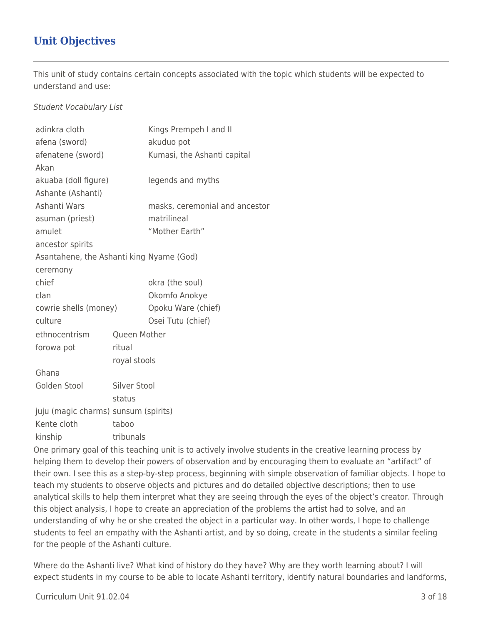# **Unit Objectives**

This unit of study contains certain concepts associated with the topic which students will be expected to understand and use:

### Student Vocabulary List

| adinkra cloth                            |              | Kings Prempeh I and II         |  |
|------------------------------------------|--------------|--------------------------------|--|
| afena (sword)                            |              | akuduo pot                     |  |
| afenatene (sword)                        |              | Kumasi, the Ashanti capital    |  |
| Akan                                     |              |                                |  |
| akuaba (doll figure)                     |              | legends and myths              |  |
| Ashante (Ashanti)                        |              |                                |  |
| Ashanti Wars                             |              | masks, ceremonial and ancestor |  |
| asuman (priest)                          |              | matrilineal                    |  |
| amulet                                   |              | "Mother Earth"                 |  |
| ancestor spirits                         |              |                                |  |
| Asantahene, the Ashanti king Nyame (God) |              |                                |  |
| ceremony                                 |              |                                |  |
| chief                                    |              | okra (the soul)                |  |
| clan                                     |              | Okomfo Anokye                  |  |
| cowrie shells (money)                    |              | Opoku Ware (chief)             |  |
| culture                                  |              | Osei Tutu (chief)              |  |
| ethnocentrism                            |              | Queen Mother                   |  |
| forowa pot                               | ritual       |                                |  |
|                                          | royal stools |                                |  |
| Ghana                                    |              |                                |  |
| Golden Stool                             |              | Silver Stool                   |  |
|                                          | status       |                                |  |
| juju (magic charms) sunsum (spirits)     |              |                                |  |
| Kente cloth                              | taboo        |                                |  |
| kinship                                  | tribunals    |                                |  |
|                                          |              |                                |  |

One primary goal of this teaching unit is to actively involve students in the creative learning process by helping them to develop their powers of observation and by encouraging them to evaluate an "artifact" of their own. I see this as a step-by-step process, beginning with simple observation of familiar objects. I hope to teach my students to observe objects and pictures and do detailed objective descriptions; then to use analytical skills to help them interpret what they are seeing through the eyes of the object's creator. Through this object analysis, I hope to create an appreciation of the problems the artist had to solve, and an understanding of why he or she created the object in a particular way. In other words, I hope to challenge students to feel an empathy with the Ashanti artist, and by so doing, create in the students a similar feeling for the people of the Ashanti culture.

Where do the Ashanti live? What kind of history do they have? Why are they worth learning about? I will expect students in my course to be able to locate Ashanti territory, identify natural boundaries and landforms,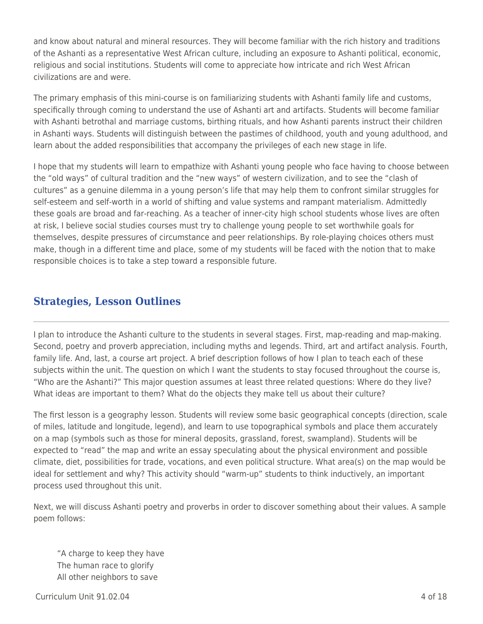and know about natural and mineral resources. They will become familiar with the rich history and traditions of the Ashanti as a representative West African culture, including an exposure to Ashanti political, economic, religious and social institutions. Students will come to appreciate how intricate and rich West African civilizations are and were.

The primary emphasis of this mini-course is on familiarizing students with Ashanti family life and customs, specifically through coming to understand the use of Ashanti art and artifacts. Students will become familiar with Ashanti betrothal and marriage customs, birthing rituals, and how Ashanti parents instruct their children in Ashanti ways. Students will distinguish between the pastimes of childhood, youth and young adulthood, and learn about the added responsibilities that accompany the privileges of each new stage in life.

I hope that my students will learn to empathize with Ashanti young people who face having to choose between the "old ways" of cultural tradition and the "new ways" of western civilization, and to see the "clash of cultures" as a genuine dilemma in a young person's life that may help them to confront similar struggles for self-esteem and self-worth in a world of shifting and value systems and rampant materialism. Admittedly these goals are broad and far-reaching. As a teacher of inner-city high school students whose lives are often at risk, I believe social studies courses must try to challenge young people to set worthwhile goals for themselves, despite pressures of circumstance and peer relationships. By role-playing choices others must make, though in a different time and place, some of my students will be faced with the notion that to make responsible choices is to take a step toward a responsible future.

## **Strategies, Lesson Outlines**

I plan to introduce the Ashanti culture to the students in several stages. First, map-reading and map-making. Second, poetry and proverb appreciation, including myths and legends. Third, art and artifact analysis. Fourth, family life. And, last, a course art project. A brief description follows of how I plan to teach each of these subjects within the unit. The question on which I want the students to stay focused throughout the course is, "Who are the Ashanti?" This major question assumes at least three related questions: Where do they live? What ideas are important to them? What do the objects they make tell us about their culture?

The first lesson is a geography lesson. Students will review some basic geographical concepts (direction, scale of miles, latitude and longitude, legend), and learn to use topographical symbols and place them accurately on a map (symbols such as those for mineral deposits, grassland, forest, swampland). Students will be expected to "read" the map and write an essay speculating about the physical environment and possible climate, diet, possibilities for trade, vocations, and even political structure. What area(s) on the map would be ideal for settlement and why? This activity should "warm-up" students to think inductively, an important process used throughout this unit.

Next, we will discuss Ashanti poetry and proverbs in order to discover something about their values. A sample poem follows:

"A charge to keep they have The human race to glorify All other neighbors to save

 $C$ urriculum Unit 91.02.04  $\qquad$  4 of 18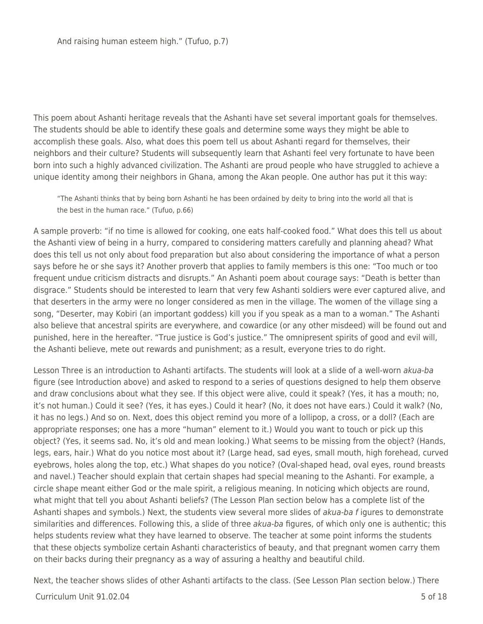This poem about Ashanti heritage reveals that the Ashanti have set several important goals for themselves. The students should be able to identify these goals and determine some ways they might be able to accomplish these goals. Also, what does this poem tell us about Ashanti regard for themselves, their neighbors and their culture? Students will subsequently learn that Ashanti feel very fortunate to have been born into such a highly advanced civilization. The Ashanti are proud people who have struggled to achieve a unique identity among their neighbors in Ghana, among the Akan people. One author has put it this way:

"The Ashanti thinks that by being born Ashanti he has been ordained by deity to bring into the world all that is the best in the human race." (Tufuo, p.66)

A sample proverb: "if no time is allowed for cooking, one eats half-cooked food." What does this tell us about the Ashanti view of being in a hurry, compared to considering matters carefully and planning ahead? What does this tell us not only about food preparation but also about considering the importance of what a person says before he or she says it? Another proverb that applies to family members is this one: "Too much or too frequent undue criticism distracts and disrupts." An Ashanti poem about courage says: "Death is better than disgrace." Students should be interested to learn that very few Ashanti soldiers were ever captured alive, and that deserters in the army were no longer considered as men in the village. The women of the village sing a song, "Deserter, may Kobiri (an important goddess) kill you if you speak as a man to a woman." The Ashanti also believe that ancestral spirits are everywhere, and cowardice (or any other misdeed) will be found out and punished, here in the hereafter. "True justice is God's justice." The omnipresent spirits of good and evil will, the Ashanti believe, mete out rewards and punishment; as a result, everyone tries to do right.

Lesson Three is an introduction to Ashanti artifacts. The students will look at a slide of a well-worn akua-ba figure (see Introduction above) and asked to respond to a series of questions designed to help them observe and draw conclusions about what they see. If this object were alive, could it speak? (Yes, it has a mouth; no, it's not human.) Could it see? (Yes, it has eyes.) Could it hear? (No, it does not have ears.) Could it walk? (No, it has no legs.) And so on. Next, does this object remind you more of a lollipop, a cross, or a doll? (Each are appropriate responses; one has a more "human" element to it.) Would you want to touch or pick up this object? (Yes, it seems sad. No, it's old and mean looking.) What seems to be missing from the object? (Hands, legs, ears, hair.) What do you notice most about it? (Large head, sad eyes, small mouth, high forehead, curved eyebrows, holes along the top, etc.) What shapes do you notice? (Oval-shaped head, oval eyes, round breasts and navel.) Teacher should explain that certain shapes had special meaning to the Ashanti. For example, a circle shape meant either God or the male spirit, a religious meaning. In noticing which objects are round, what might that tell you about Ashanti beliefs? (The Lesson Plan section below has a complete list of the Ashanti shapes and symbols.) Next, the students view several more slides of *akua-ba f* igures to demonstrate similarities and differences. Following this, a slide of three akua-ba figures, of which only one is authentic; this helps students review what they have learned to observe. The teacher at some point informs the students that these objects symbolize certain Ashanti characteristics of beauty, and that pregnant women carry them on their backs during their pregnancy as a way of assuring a healthy and beautiful child.

Next, the teacher shows slides of other Ashanti artifacts to the class. (See Lesson Plan section below.) There

#### $C$ urriculum Unit 91.02.04  $\hspace{1.5cm}$  5 of 18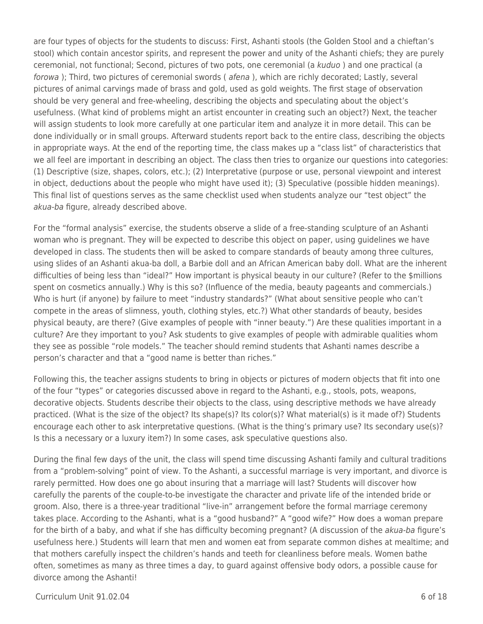are four types of objects for the students to discuss: First, Ashanti stools (the Golden Stool and a chieftan's stool) which contain ancestor spirits, and represent the power and unity of the Ashanti chiefs; they are purely ceremonial, not functional; Second, pictures of two pots, one ceremonial (a kuduo ) and one practical (a forowa); Third, two pictures of ceremonial swords ( afena), which are richly decorated; Lastly, several pictures of animal carvings made of brass and gold, used as gold weights. The first stage of observation should be very general and free-wheeling, describing the objects and speculating about the object's usefulness. (What kind of problems might an artist encounter in creating such an object?) Next, the teacher will assign students to look more carefully at one particular item and analyze it in more detail. This can be done individually or in small groups. Afterward students report back to the entire class, describing the objects in appropriate ways. At the end of the reporting time, the class makes up a "class list" of characteristics that we all feel are important in describing an object. The class then tries to organize our questions into categories: (1) Descriptive (size, shapes, colors, etc.); (2) Interpretative (purpose or use, personal viewpoint and interest in object, deductions about the people who might have used it); (3) Speculative (possible hidden meanings). This final list of questions serves as the same checklist used when students analyze our "test object" the akua-ba figure, already described above.

For the "formal analysis" exercise, the students observe a slide of a free-standing sculpture of an Ashanti woman who is pregnant. They will be expected to describe this object on paper, using guidelines we have developed in class. The students then will be asked to compare standards of beauty among three cultures, using slides of an Ashanti akua-ba doll, a Barbie doll and an African American baby doll. What are the inherent difficulties of being less than "ideal?" How important is physical beauty in our culture? (Refer to the \$millions spent on cosmetics annually.) Why is this so? (Influence of the media, beauty pageants and commercials.) Who is hurt (if anyone) by failure to meet "industry standards?" (What about sensitive people who can't compete in the areas of slimness, youth, clothing styles, etc.?) What other standards of beauty, besides physical beauty, are there? (Give examples of people with "inner beauty.") Are these qualities important in a culture? Are they important to you? Ask students to give examples of people with admirable qualities whom they see as possible "role models." The teacher should remind students that Ashanti names describe a person's character and that a "good name is better than riches."

Following this, the teacher assigns students to bring in objects or pictures of modern objects that fit into one of the four "types" or categories discussed above in regard to the Ashanti, e.g., stools, pots, weapons, decorative objects. Students describe their objects to the class, using descriptive methods we have already practiced. (What is the size of the object? Its shape(s)? Its color(s)? What material(s) is it made of?) Students encourage each other to ask interpretative questions. (What is the thing's primary use? Its secondary use(s)? Is this a necessary or a luxury item?) In some cases, ask speculative questions also.

During the final few days of the unit, the class will spend time discussing Ashanti family and cultural traditions from a "problem-solving" point of view. To the Ashanti, a successful marriage is very important, and divorce is rarely permitted. How does one go about insuring that a marriage will last? Students will discover how carefully the parents of the couple-to-be investigate the character and private life of the intended bride or groom. Also, there is a three-year traditional "live-in" arrangement before the formal marriage ceremony takes place. According to the Ashanti, what is a "good husband?" A "good wife?" How does a woman prepare for the birth of a baby, and what if she has difficulty becoming pregnant? (A discussion of the *akua-ba* figure's usefulness here.) Students will learn that men and women eat from separate common dishes at mealtime; and that mothers carefully inspect the children's hands and teeth for cleanliness before meals. Women bathe often, sometimes as many as three times a day, to guard against offensive body odors, a possible cause for divorce among the Ashanti!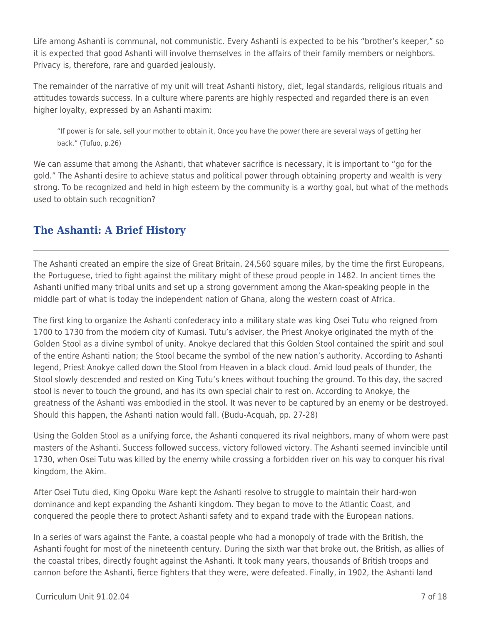Life among Ashanti is communal, not communistic. Every Ashanti is expected to be his "brother's keeper," so it is expected that good Ashanti will involve themselves in the affairs of their family members or neighbors. Privacy is, therefore, rare and guarded jealously.

The remainder of the narrative of my unit will treat Ashanti history, diet, legal standards, religious rituals and attitudes towards success. In a culture where parents are highly respected and regarded there is an even higher loyalty, expressed by an Ashanti maxim:

"If power is for sale, sell your mother to obtain it. Once you have the power there are several ways of getting her back." (Tufuo, p.26)

We can assume that among the Ashanti, that whatever sacrifice is necessary, it is important to "go for the gold." The Ashanti desire to achieve status and political power through obtaining property and wealth is very strong. To be recognized and held in high esteem by the community is a worthy goal, but what of the methods used to obtain such recognition?

# **The Ashanti: A Brief History**

The Ashanti created an empire the size of Great Britain, 24,560 square miles, by the time the first Europeans, the Portuguese, tried to fight against the military might of these proud people in 1482. In ancient times the Ashanti unified many tribal units and set up a strong government among the Akan-speaking people in the middle part of what is today the independent nation of Ghana, along the western coast of Africa.

The first king to organize the Ashanti confederacy into a military state was king Osei Tutu who reigned from 1700 to 1730 from the modern city of Kumasi. Tutu's adviser, the Priest Anokye originated the myth of the Golden Stool as a divine symbol of unity. Anokye declared that this Golden Stool contained the spirit and soul of the entire Ashanti nation; the Stool became the symbol of the new nation's authority. According to Ashanti legend, Priest Anokye called down the Stool from Heaven in a black cloud. Amid loud peals of thunder, the Stool slowly descended and rested on King Tutu's knees without touching the ground. To this day, the sacred stool is never to touch the ground, and has its own special chair to rest on. According to Anokye, the greatness of the Ashanti was embodied in the stool. It was never to be captured by an enemy or be destroyed. Should this happen, the Ashanti nation would fall. (Budu-Acquah, pp. 27-28)

Using the Golden Stool as a unifying force, the Ashanti conquered its rival neighbors, many of whom were past masters of the Ashanti. Success followed success, victory followed victory. The Ashanti seemed invincible until 1730, when Osei Tutu was killed by the enemy while crossing a forbidden river on his way to conquer his rival kingdom, the Akim.

After Osei Tutu died, King Opoku Ware kept the Ashanti resolve to struggle to maintain their hard-won dominance and kept expanding the Ashanti kingdom. They began to move to the Atlantic Coast, and conquered the people there to protect Ashanti safety and to expand trade with the European nations.

In a series of wars against the Fante, a coastal people who had a monopoly of trade with the British, the Ashanti fought for most of the nineteenth century. During the sixth war that broke out, the British, as allies of the coastal tribes, directly fought against the Ashanti. It took many years, thousands of British troops and cannon before the Ashanti, fierce fighters that they were, were defeated. Finally, in 1902, the Ashanti land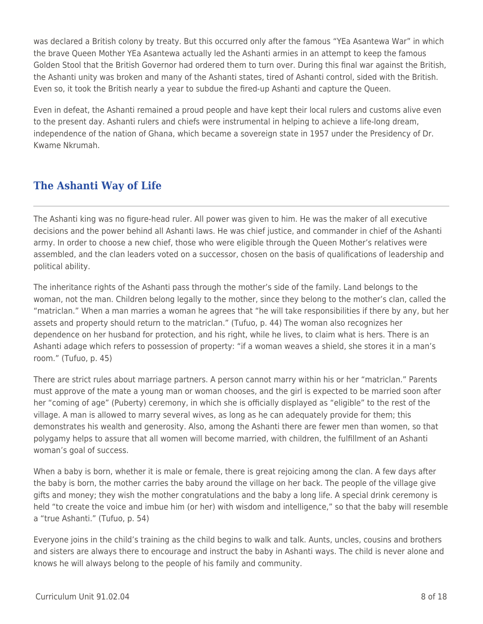was declared a British colony by treaty. But this occurred only after the famous "YEa Asantewa War" in which the brave Queen Mother YEa Asantewa actually led the Ashanti armies in an attempt to keep the famous Golden Stool that the British Governor had ordered them to turn over. During this final war against the British, the Ashanti unity was broken and many of the Ashanti states, tired of Ashanti control, sided with the British. Even so, it took the British nearly a year to subdue the fired-up Ashanti and capture the Queen.

Even in defeat, the Ashanti remained a proud people and have kept their local rulers and customs alive even to the present day. Ashanti rulers and chiefs were instrumental in helping to achieve a life-long dream, independence of the nation of Ghana, which became a sovereign state in 1957 under the Presidency of Dr. Kwame Nkrumah.

# **The Ashanti Way of Life**

The Ashanti king was no figure-head ruler. All power was given to him. He was the maker of all executive decisions and the power behind all Ashanti laws. He was chief justice, and commander in chief of the Ashanti army. In order to choose a new chief, those who were eligible through the Queen Mother's relatives were assembled, and the clan leaders voted on a successor, chosen on the basis of qualifications of leadership and political ability.

The inheritance rights of the Ashanti pass through the mother's side of the family. Land belongs to the woman, not the man. Children belong legally to the mother, since they belong to the mother's clan, called the "matriclan." When a man marries a woman he agrees that "he will take responsibilities if there by any, but her assets and property should return to the matriclan." (Tufuo, p. 44) The woman also recognizes her dependence on her husband for protection, and his right, while he lives, to claim what is hers. There is an Ashanti adage which refers to possession of property: "if a woman weaves a shield, she stores it in a man's room." (Tufuo, p. 45)

There are strict rules about marriage partners. A person cannot marry within his or her "matriclan." Parents must approve of the mate a young man or woman chooses, and the girl is expected to be married soon after her "coming of age" (Puberty) ceremony, in which she is officially displayed as "eligible" to the rest of the village. A man is allowed to marry several wives, as long as he can adequately provide for them; this demonstrates his wealth and generosity. Also, among the Ashanti there are fewer men than women, so that polygamy helps to assure that all women will become married, with children, the fulfillment of an Ashanti woman's goal of success.

When a baby is born, whether it is male or female, there is great rejoicing among the clan. A few days after the baby is born, the mother carries the baby around the village on her back. The people of the village give gifts and money; they wish the mother congratulations and the baby a long life. A special drink ceremony is held "to create the voice and imbue him (or her) with wisdom and intelligence," so that the baby will resemble a "true Ashanti." (Tufuo, p. 54)

Everyone joins in the child's training as the child begins to walk and talk. Aunts, uncles, cousins and brothers and sisters are always there to encourage and instruct the baby in Ashanti ways. The child is never alone and knows he will always belong to the people of his family and community.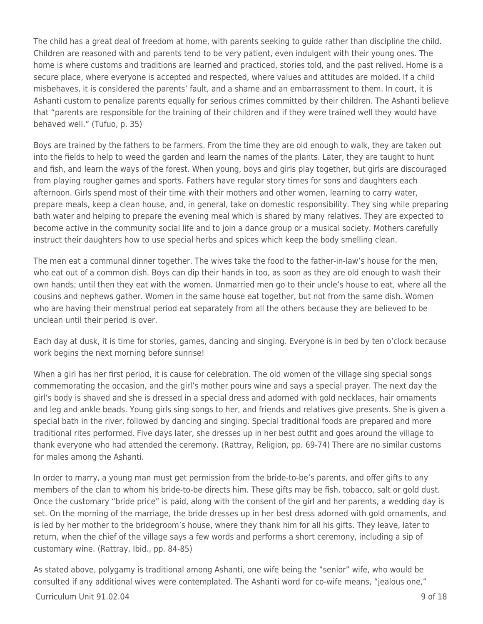The child has a great deal of freedom at home, with parents seeking to guide rather than discipline the child. Children are reasoned with and parents tend to be very patient, even indulgent with their young ones. The home is where customs and traditions are learned and practiced, stories told, and the past relived. Home is a secure place, where everyone is accepted and respected, where values and attitudes are molded. If a child misbehaves, it is considered the parents' fault, and a shame and an embarrassment to them. In court, it is Ashanti custom to penalize parents equally for serious crimes committed by their children. The Ashanti believe that "parents are responsible for the training of their children and if they were trained well they would have behaved well." (Tufuo, p. 35)

Boys are trained by the fathers to be farmers. From the time they are old enough to walk, they are taken out into the fields to help to weed the garden and learn the names of the plants. Later, they are taught to hunt and fish, and learn the ways of the forest. When young, boys and girls play together, but girls are discouraged from playing rougher games and sports. Fathers have regular story times for sons and daughters each afternoon. Girls spend most of their time with their mothers and other women, learning to carry water, prepare meals, keep a clean house, and, in general, take on domestic responsibility. They sing while preparing bath water and helping to prepare the evening meal which is shared by many relatives. They are expected to become active in the community social life and to join a dance group or a musical society. Mothers carefully instruct their daughters how to use special herbs and spices which keep the body smelling clean.

The men eat a communal dinner together. The wives take the food to the father-in-law's house for the men, who eat out of a common dish. Boys can dip their hands in too, as soon as they are old enough to wash their own hands; until then they eat with the women. Unmarried men go to their uncle's house to eat, where all the cousins and nephews gather. Women in the same house eat together, but not from the same dish. Women who are having their menstrual period eat separately from all the others because they are believed to be unclean until their period is over.

Each day at dusk, it is time for stories, games, dancing and singing. Everyone is in bed by ten o'clock because work begins the next morning before sunrise!

When a girl has her first period, it is cause for celebration. The old women of the village sing special songs commemorating the occasion, and the girl's mother pours wine and says a special prayer. The next day the girl's body is shaved and she is dressed in a special dress and adorned with gold necklaces, hair ornaments and leg and ankle beads. Young girls sing songs to her, and friends and relatives give presents. She is given a special bath in the river, followed by dancing and singing. Special traditional foods are prepared and more traditional rites performed. Five days later, she dresses up in her best outfit and goes around the village to thank everyone who had attended the ceremony. (Rattray, Religion, pp. 69-74) There are no similar customs for males among the Ashanti.

In order to marry, a young man must get permission from the bride-to-be's parents, and offer gifts to any members of the clan to whom his bride-to-be directs him. These gifts may be fish, tobacco, salt or gold dust. Once the customary "bride price" is paid, along with the consent of the girl and her parents, a wedding day is set. On the morning of the marriage, the bride dresses up in her best dress adorned with gold ornaments, and is led by her mother to the bridegroom's house, where they thank him for all his gifts. They leave, later to return, when the chief of the village says a few words and performs a short ceremony, including a sip of customary wine. (Rattray, Ibid., pp. 84-85)

As stated above, polygamy is traditional among Ashanti, one wife being the "senior" wife, who would be consulted if any additional wives were contemplated. The Ashanti word for co-wife means, "jealous one,"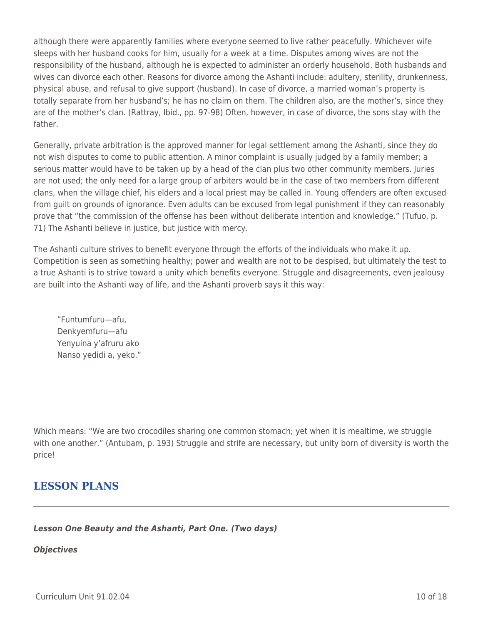although there were apparently families where everyone seemed to live rather peacefully. Whichever wife sleeps with her husband cooks for him, usually for a week at a time. Disputes among wives are not the responsibility of the husband, although he is expected to administer an orderly household. Both husbands and wives can divorce each other. Reasons for divorce among the Ashanti include: adultery, sterility, drunkenness, physical abuse, and refusal to give support (husband). In case of divorce, a married woman's property is totally separate from her husband's; he has no claim on them. The children also, are the mother's, since they are of the mother's clan. (Rattray, Ibid., pp. 97-98) Often, however, in case of divorce, the sons stay with the father.

Generally, private arbitration is the approved manner for legal settlement among the Ashanti, since they do not wish disputes to come to public attention. A minor complaint is usually judged by a family member; a serious matter would have to be taken up by a head of the clan plus two other community members. Juries are not used; the only need for a large group of arbiters would be in the case of two members from different clans, when the village chief, his elders and a local priest may be called in. Young offenders are often excused from guilt on grounds of ignorance. Even adults can be excused from legal punishment if they can reasonably prove that "the commission of the offense has been without deliberate intention and knowledge." (Tufuo, p. 71) The Ashanti believe in justice, but justice with mercy.

The Ashanti culture strives to benefit everyone through the efforts of the individuals who make it up. Competition is seen as something healthy; power and wealth are not to be despised, but ultimately the test to a true Ashanti is to strive toward a unity which benefits everyone. Struggle and disagreements, even jealousy are built into the Ashanti way of life, and the Ashanti proverb says it this way:

"Funtumfuru—afu, Denkyemfuru—afu Yenyuina y'afruru ako Nanso yedidi a, yeko."

Which means: "We are two crocodiles sharing one common stomach; yet when it is mealtime, we struggle with one another." (Antubam, p. 193) Struggle and strife are necessary, but unity born of diversity is worth the price!

# **LESSON PLANS**

## *Lesson One Beauty and the Ashanti, Part One. (Two days)*

### *Objectives*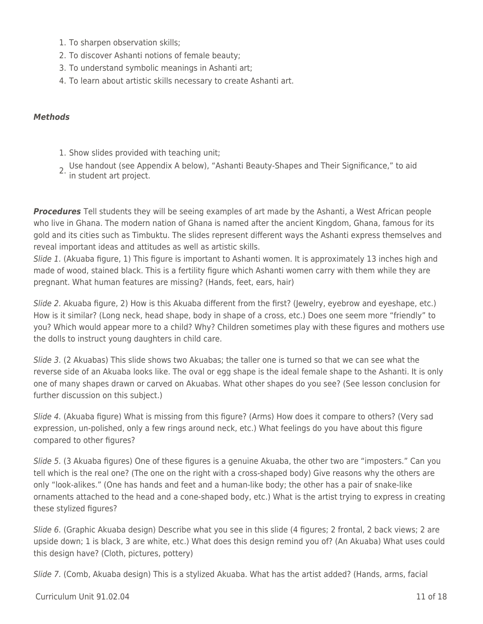- 1. To sharpen observation skills;
- 2. To discover Ashanti notions of female beauty;
- 3. To understand symbolic meanings in Ashanti art;
- 4. To learn about artistic skills necessary to create Ashanti art.

### *Methods*

- 1. Show slides provided with teaching unit;
- 2. Use handout (see Appendix A below), "Ashanti Beauty-Shapes and Their Significance," to aid in student art project.

**Procedures** Tell students they will be seeing examples of art made by the Ashanti, a West African people who live in Ghana. The modern nation of Ghana is named after the ancient Kingdom, Ghana, famous for its gold and its cities such as Timbuktu. The slides represent different ways the Ashanti express themselves and reveal important ideas and attitudes as well as artistic skills.

Slide 1. (Akuaba figure, 1) This figure is important to Ashanti women. It is approximately 13 inches high and made of wood, stained black. This is a fertility figure which Ashanti women carry with them while they are pregnant. What human features are missing? (Hands, feet, ears, hair)

Slide 2. Akuaba figure, 2) How is this Akuaba different from the first? (Jewelry, eyebrow and eyeshape, etc.) How is it similar? (Long neck, head shape, body in shape of a cross, etc.) Does one seem more "friendly" to you? Which would appear more to a child? Why? Children sometimes play with these figures and mothers use the dolls to instruct young daughters in child care.

Slide 3. (2 Akuabas) This slide shows two Akuabas; the taller one is turned so that we can see what the reverse side of an Akuaba looks like. The oval or egg shape is the ideal female shape to the Ashanti. It is only one of many shapes drawn or carved on Akuabas. What other shapes do you see? (See lesson conclusion for further discussion on this subject.)

Slide 4. (Akuaba figure) What is missing from this figure? (Arms) How does it compare to others? (Very sad expression, un-polished, only a few rings around neck, etc.) What feelings do you have about this figure compared to other figures?

Slide 5. (3 Akuaba figures) One of these figures is a genuine Akuaba, the other two are "imposters." Can you tell which is the real one? (The one on the right with a cross-shaped body) Give reasons why the others are only "look-alikes." (One has hands and feet and a human-like body; the other has a pair of snake-like ornaments attached to the head and a cone-shaped body, etc.) What is the artist trying to express in creating these stylized figures?

Slide 6. (Graphic Akuaba design) Describe what you see in this slide (4 figures; 2 frontal, 2 back views; 2 are upside down; 1 is black, 3 are white, etc.) What does this design remind you of? (An Akuaba) What uses could this design have? (Cloth, pictures, pottery)

Slide 7. (Comb, Akuaba design) This is a stylized Akuaba. What has the artist added? (Hands, arms, facial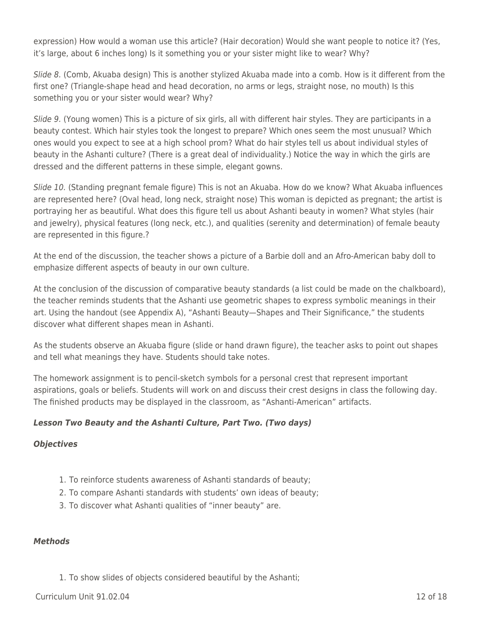expression) How would a woman use this article? (Hair decoration) Would she want people to notice it? (Yes, it's large, about 6 inches long) Is it something you or your sister might like to wear? Why?

Slide 8. (Comb, Akuaba design) This is another stylized Akuaba made into a comb. How is it different from the first one? (Triangle-shape head and head decoration, no arms or legs, straight nose, no mouth) Is this something you or your sister would wear? Why?

Slide 9. (Young women) This is a picture of six girls, all with different hair styles. They are participants in a beauty contest. Which hair styles took the longest to prepare? Which ones seem the most unusual? Which ones would you expect to see at a high school prom? What do hair styles tell us about individual styles of beauty in the Ashanti culture? (There is a great deal of individuality.) Notice the way in which the girls are dressed and the different patterns in these simple, elegant gowns.

Slide 10. (Standing pregnant female figure) This is not an Akuaba. How do we know? What Akuaba influences are represented here? (Oval head, long neck, straight nose) This woman is depicted as pregnant; the artist is portraying her as beautiful. What does this figure tell us about Ashanti beauty in women? What styles (hair and jewelry), physical features (long neck, etc.), and qualities (serenity and determination) of female beauty are represented in this figure.?

At the end of the discussion, the teacher shows a picture of a Barbie doll and an Afro-American baby doll to emphasize different aspects of beauty in our own culture.

At the conclusion of the discussion of comparative beauty standards (a list could be made on the chalkboard), the teacher reminds students that the Ashanti use geometric shapes to express symbolic meanings in their art. Using the handout (see Appendix A), "Ashanti Beauty—Shapes and Their Significance," the students discover what different shapes mean in Ashanti.

As the students observe an Akuaba figure (slide or hand drawn figure), the teacher asks to point out shapes and tell what meanings they have. Students should take notes.

The homework assignment is to pencil-sketch symbols for a personal crest that represent important aspirations, goals or beliefs. Students will work on and discuss their crest designs in class the following day. The finished products may be displayed in the classroom, as "Ashanti-American" artifacts.

## *Lesson Two Beauty and the Ashanti Culture, Part Two. (Two days)*

## *Objectives*

- 1. To reinforce students awareness of Ashanti standards of beauty;
- 2. To compare Ashanti standards with students' own ideas of beauty;
- 3. To discover what Ashanti qualities of "inner beauty" are.

## *Methods*

1. To show slides of objects considered beautiful by the Ashanti;

 $Curir$  Unit 91.02.04 12 of 18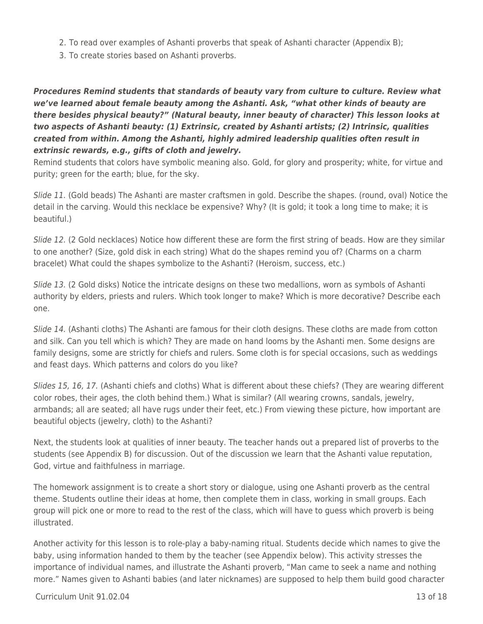- 2. To read over examples of Ashanti proverbs that speak of Ashanti character (Appendix B);
- 3. To create stories based on Ashanti proverbs.

## *Procedures Remind students that standards of beauty vary from culture to culture. Review what we've learned about female beauty among the Ashanti. Ask, "what other kinds of beauty are there besides physical beauty?" (Natural beauty, inner beauty of character) This lesson looks at two aspects of Ashanti beauty: (1) Extrinsic, created by Ashanti artists; (2) Intrinsic, qualities created from within. Among the Ashanti, highly admired leadership qualities often result in extrinsic rewards, e.g., gifts of cloth and jewelry.*

Remind students that colors have symbolic meaning also. Gold, for glory and prosperity; white, for virtue and purity; green for the earth; blue, for the sky.

Slide 11. (Gold beads) The Ashanti are master craftsmen in gold. Describe the shapes. (round, oval) Notice the detail in the carving. Would this necklace be expensive? Why? (It is gold; it took a long time to make; it is beautiful.)

Slide 12. (2 Gold necklaces) Notice how different these are form the first string of beads. How are they similar to one another? (Size, gold disk in each string) What do the shapes remind you of? (Charms on a charm bracelet) What could the shapes symbolize to the Ashanti? (Heroism, success, etc.)

Slide 13. (2 Gold disks) Notice the intricate designs on these two medallions, worn as symbols of Ashanti authority by elders, priests and rulers. Which took longer to make? Which is more decorative? Describe each one.

Slide 14. (Ashanti cloths) The Ashanti are famous for their cloth designs. These cloths are made from cotton and silk. Can you tell which is which? They are made on hand looms by the Ashanti men. Some designs are family designs, some are strictly for chiefs and rulers. Some cloth is for special occasions, such as weddings and feast days. Which patterns and colors do you like?

Slides 15, 16, 17. (Ashanti chiefs and cloths) What is different about these chiefs? (They are wearing different color robes, their ages, the cloth behind them.) What is similar? (All wearing crowns, sandals, jewelry, armbands; all are seated; all have rugs under their feet, etc.) From viewing these picture, how important are beautiful objects (jewelry, cloth) to the Ashanti?

Next, the students look at qualities of inner beauty. The teacher hands out a prepared list of proverbs to the students (see Appendix B) for discussion. Out of the discussion we learn that the Ashanti value reputation, God, virtue and faithfulness in marriage.

The homework assignment is to create a short story or dialogue, using one Ashanti proverb as the central theme. Students outline their ideas at home, then complete them in class, working in small groups. Each group will pick one or more to read to the rest of the class, which will have to guess which proverb is being illustrated.

Another activity for this lesson is to role-play a baby-naming ritual. Students decide which names to give the baby, using information handed to them by the teacher (see Appendix below). This activity stresses the importance of individual names, and illustrate the Ashanti proverb, "Man came to seek a name and nothing more." Names given to Ashanti babies (and later nicknames) are supposed to help them build good character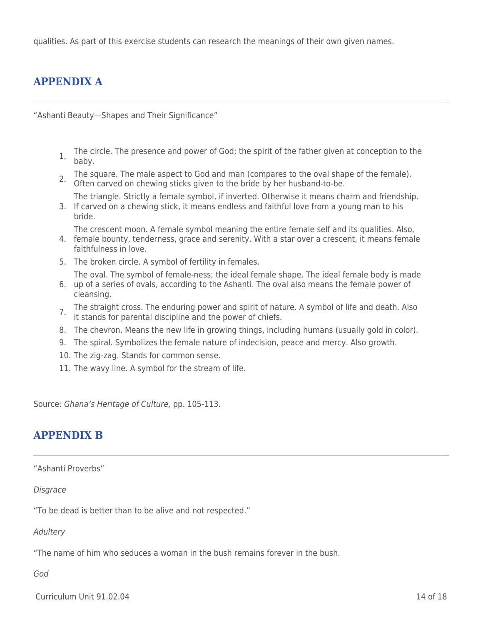qualities. As part of this exercise students can research the meanings of their own given names.

# **APPENDIX A**

"Ashanti Beauty—Shapes and Their Significance"

- 1. The circle. The presence and power of God; the spirit of the father given at conception to the baby.
- 2. The square. The male aspect to God and man (compares to the oval shape of the female).<br>2. Often carved on chewing sticks given to the bride by her husband-to-be.
- 3. If carved on a chewing stick, it means endless and faithful love from a young man to his The triangle. Strictly a female symbol, if inverted. Otherwise it means charm and friendship.
- bride.
	- The crescent moon. A female symbol meaning the entire female self and its qualities. Also,
- 4. female bounty, tenderness, grace and serenity. With a star over a crescent, it means female faithfulness in love.
- 5. The broken circle. A symbol of fertility in females.

The oval. The symbol of female-ness; the ideal female shape. The ideal female body is made

- 6. up of a series of ovals, according to the Ashanti. The oval also means the female power of cleansing.
- 7. The straight cross. The enduring power and spirit of nature. A symbol of life and death. Also it stands for parental discipline and the power of chiefs.
- 
- 8. The chevron. Means the new life in growing things, including humans (usually gold in color).
- 9. The spiral. Symbolizes the female nature of indecision, peace and mercy. Also growth.
- 10. The zig-zag. Stands for common sense.
- 11. The wavy line. A symbol for the stream of life.

Source: Ghana's Heritage of Culture, pp. 105-113.

## **APPENDIX B**

#### "Ashanti Proverbs"

### **Disgrace**

"To be dead is better than to be alive and not respected."

### **Adultery**

"The name of him who seduces a woman in the bush remains forever in the bush.

### God

Curriculum Unit 91.02.04 14 of 18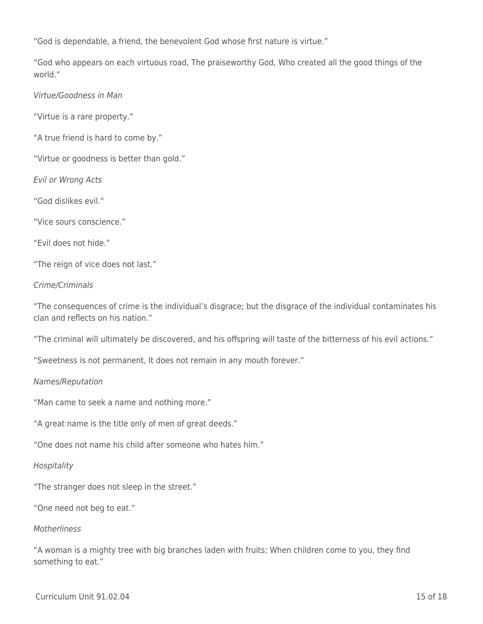"God is dependable, a friend, the benevolent God whose first nature is virtue."

"God who appears on each virtuous road, The praiseworthy God, Who created all the good things of the world."

Virtue/Goodness in Man

"Virtue is a rare property."

"A true friend is hard to come by."

"Virtue or goodness is better than gold."

Evil or Wrong Acts

"God dislikes evil."

"Vice sours conscience."

"Evil does not hide."

"The reign of vice does not last."

### Crime/Criminals

"The consequences of crime is the individual's disgrace; but the disgrace of the individual contaminates his clan and reflects on his nation."

"The criminal will ultimately be discovered, and his offspring will taste of the bitterness of his evil actions."

"Sweetness is not permanent, It does not remain in any mouth forever."

### Names/Reputation

"Man came to seek a name and nothing more."

"A great name is the title only of men of great deeds."

"One does not name his child after someone who hates him."

### **Hospitality**

"The stranger does not sleep in the street."

"One need not beg to eat."

### **Motherliness**

"A woman is a mighty tree with big branches laden with fruits; When children come to you, they find something to eat."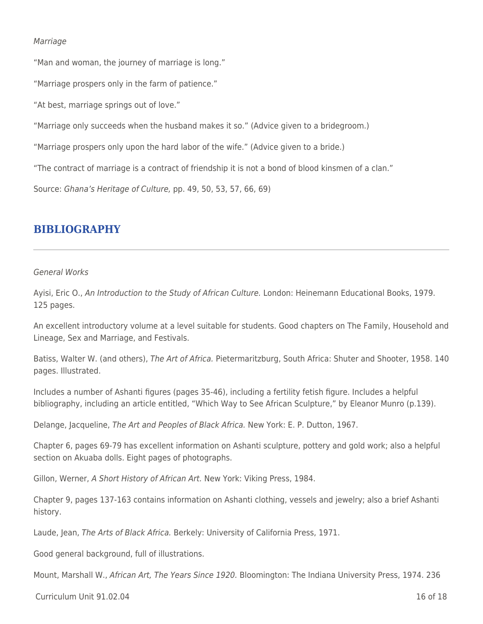### Marriage

"Man and woman, the journey of marriage is long."

"Marriage prospers only in the farm of patience."

"At best, marriage springs out of love."

"Marriage only succeeds when the husband makes it so." (Advice given to a bridegroom.)

"Marriage prospers only upon the hard labor of the wife." (Advice given to a bride.)

"The contract of marriage is a contract of friendship it is not a bond of blood kinsmen of a clan."

Source: Ghana's Heritage of Culture, pp. 49, 50, 53, 57, 66, 69)

## **BIBLIOGRAPHY**

#### General Works

Ayisi, Eric O., An Introduction to the Study of African Culture. London: Heinemann Educational Books, 1979. 125 pages.

An excellent introductory volume at a level suitable for students. Good chapters on The Family, Household and Lineage, Sex and Marriage, and Festivals.

Batiss, Walter W. (and others), The Art of Africa. Pietermaritzburg, South Africa: Shuter and Shooter, 1958. 140 pages. Illustrated.

Includes a number of Ashanti figures (pages 35-46), including a fertility fetish figure. Includes a helpful bibliography, including an article entitled, "Which Way to See African Sculpture," by Eleanor Munro (p.139).

Delange, Jacqueline, The Art and Peoples of Black Africa. New York: E. P. Dutton, 1967.

Chapter 6, pages 69-79 has excellent information on Ashanti sculpture, pottery and gold work; also a helpful section on Akuaba dolls. Eight pages of photographs.

Gillon, Werner, A Short History of African Art. New York: Viking Press, 1984.

Chapter 9, pages 137-163 contains information on Ashanti clothing, vessels and jewelry; also a brief Ashanti history.

Laude, Jean, The Arts of Black Africa. Berkely: University of California Press, 1971.

Good general background, full of illustrations.

Mount, Marshall W., African Art, The Years Since 1920. Bloomington: The Indiana University Press, 1974. 236

 $Curir$  Unit 91.02.04 16 of 18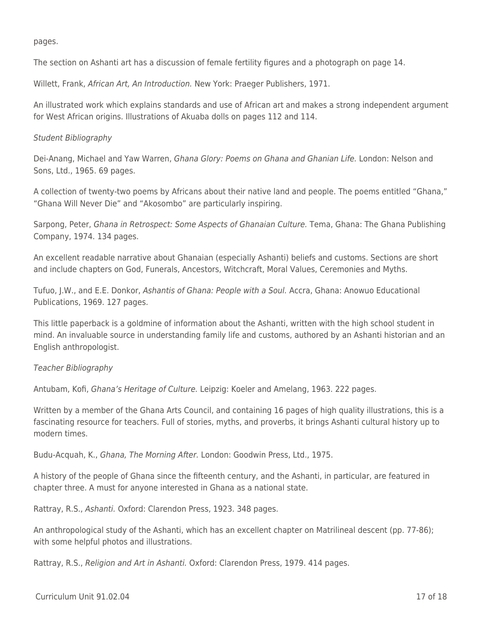pages.

The section on Ashanti art has a discussion of female fertility figures and a photograph on page 14.

Willett, Frank, African Art, An Introduction. New York: Praeger Publishers, 1971.

An illustrated work which explains standards and use of African art and makes a strong independent argument for West African origins. Illustrations of Akuaba dolls on pages 112 and 114.

### Student Bibliography

Dei-Anang, Michael and Yaw Warren, Ghana Glory: Poems on Ghana and Ghanian Life. London: Nelson and Sons, Ltd., 1965. 69 pages.

A collection of twenty-two poems by Africans about their native land and people. The poems entitled "Ghana," "Ghana Will Never Die" and "Akosombo" are particularly inspiring.

Sarpong, Peter, Ghana in Retrospect: Some Aspects of Ghanaian Culture. Tema, Ghana: The Ghana Publishing Company, 1974. 134 pages.

An excellent readable narrative about Ghanaian (especially Ashanti) beliefs and customs. Sections are short and include chapters on God, Funerals, Ancestors, Witchcraft, Moral Values, Ceremonies and Myths.

Tufuo, J.W., and E.E. Donkor, Ashantis of Ghana: People with a Soul. Accra, Ghana: Anowuo Educational Publications, 1969. 127 pages.

This little paperback is a goldmine of information about the Ashanti, written with the high school student in mind. An invaluable source in understanding family life and customs, authored by an Ashanti historian and an English anthropologist.

## Teacher Bibliography

Antubam, Kofi, Ghana's Heritage of Culture. Leipzig: Koeler and Amelang, 1963. 222 pages.

Written by a member of the Ghana Arts Council, and containing 16 pages of high quality illustrations, this is a fascinating resource for teachers. Full of stories, myths, and proverbs, it brings Ashanti cultural history up to modern times.

Budu-Acquah, K., Ghana, The Morning After. London: Goodwin Press, Ltd., 1975.

A history of the people of Ghana since the fifteenth century, and the Ashanti, in particular, are featured in chapter three. A must for anyone interested in Ghana as a national state.

Rattray, R.S., Ashanti. Oxford: Clarendon Press, 1923. 348 pages.

An anthropological study of the Ashanti, which has an excellent chapter on Matrilineal descent (pp. 77-86); with some helpful photos and illustrations.

Rattray, R.S., Religion and Art in Ashanti. Oxford: Clarendon Press, 1979. 414 pages.